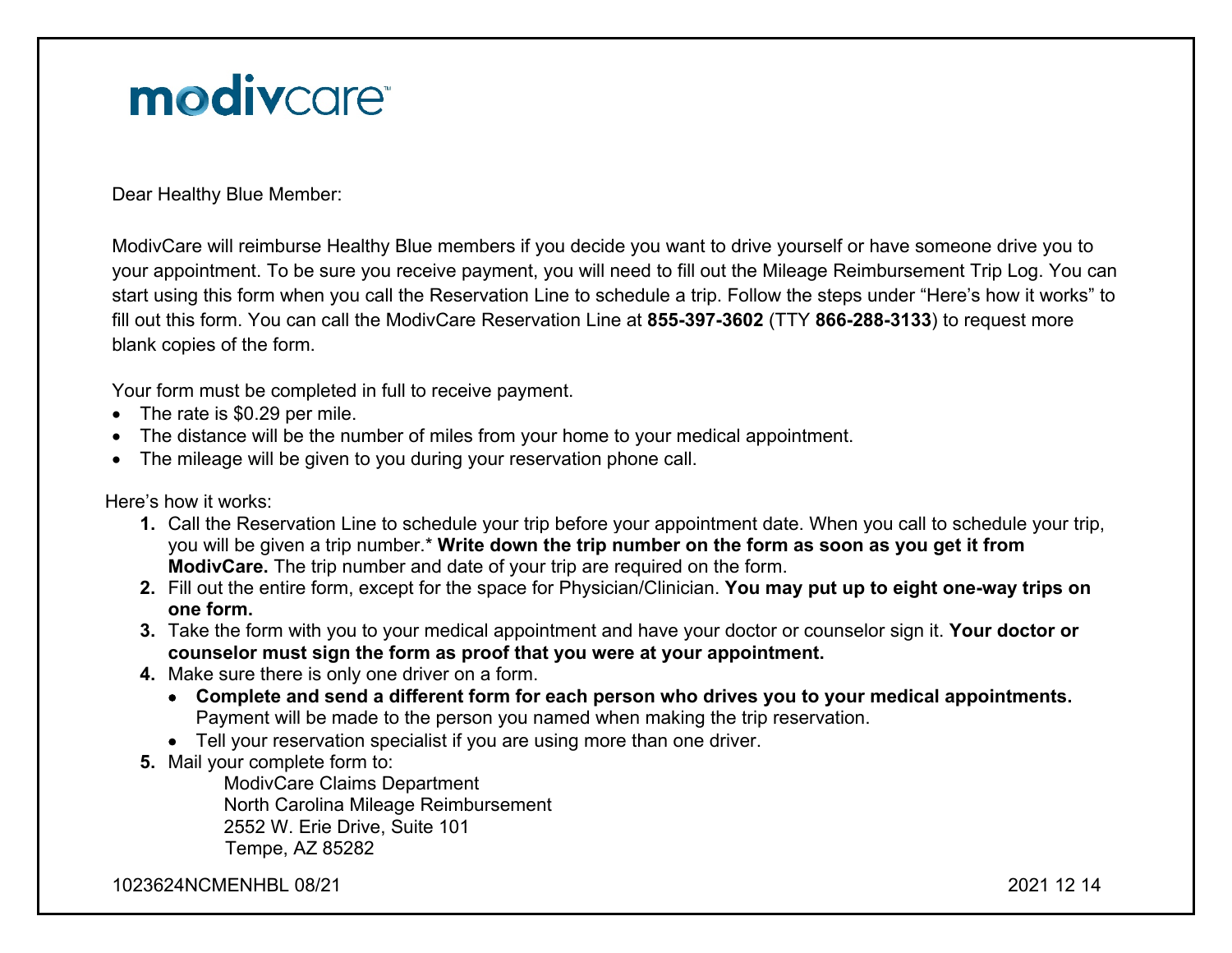# modivcare

Dear Healthy Blue Member:

ModivCare will reimburse Healthy Blue members if you decide you want to drive yourself or have someone drive you to your appointment. To be sure you receive payment, you will need to fill out the Mileage Reimbursement Trip Log. You can start using this form when you call the Reservation Line to schedule a trip. Follow the steps under "Here's how it works" to fill out this form. You can call the ModivCare Reservation Line at **855-397-3602** (TTY **866-288-3133**) to request more blank copies of the form.

Your form must be completed in full to receive payment.

- The rate is \$0.29 per mile.
- The distance will be the number of miles from your home to your medical appointment.
- The mileage will be given to you during your reservation phone call.

Here's how it works:

- **1.** Call the Reservation Line to schedule your trip before your appointment date. When you call to schedule your trip, you will be given a trip number.\* **Write down the trip number on the form as soon as you get it from ModivCare.** The trip number and date of your trip are required on the form.
- **2.** Fill out the entire form, except for the space for Physician/Clinician. **You may put up to eight one-way trips on one form.**
- **3.** Take the form with you to your medical appointment and have your doctor or counselor sign it. **Your doctor or counselor must sign the form as proof that you were at your appointment.**
- **4.** Make sure there is only one driver on a form.
	- **Complete and send a different form for each person who drives you to your medical appointments.** Payment will be made to the person you named when making the trip reservation.
	- Tell your reservation specialist if you are using more than one driver.
- **5.** Mail your complete form to:

ModivCare Claims Department North Carolina Mileage Reimbursement 2552 W. Erie Drive, Suite 101 Tempe, AZ 85282

1023624NCMENHBL 08/212021 12 14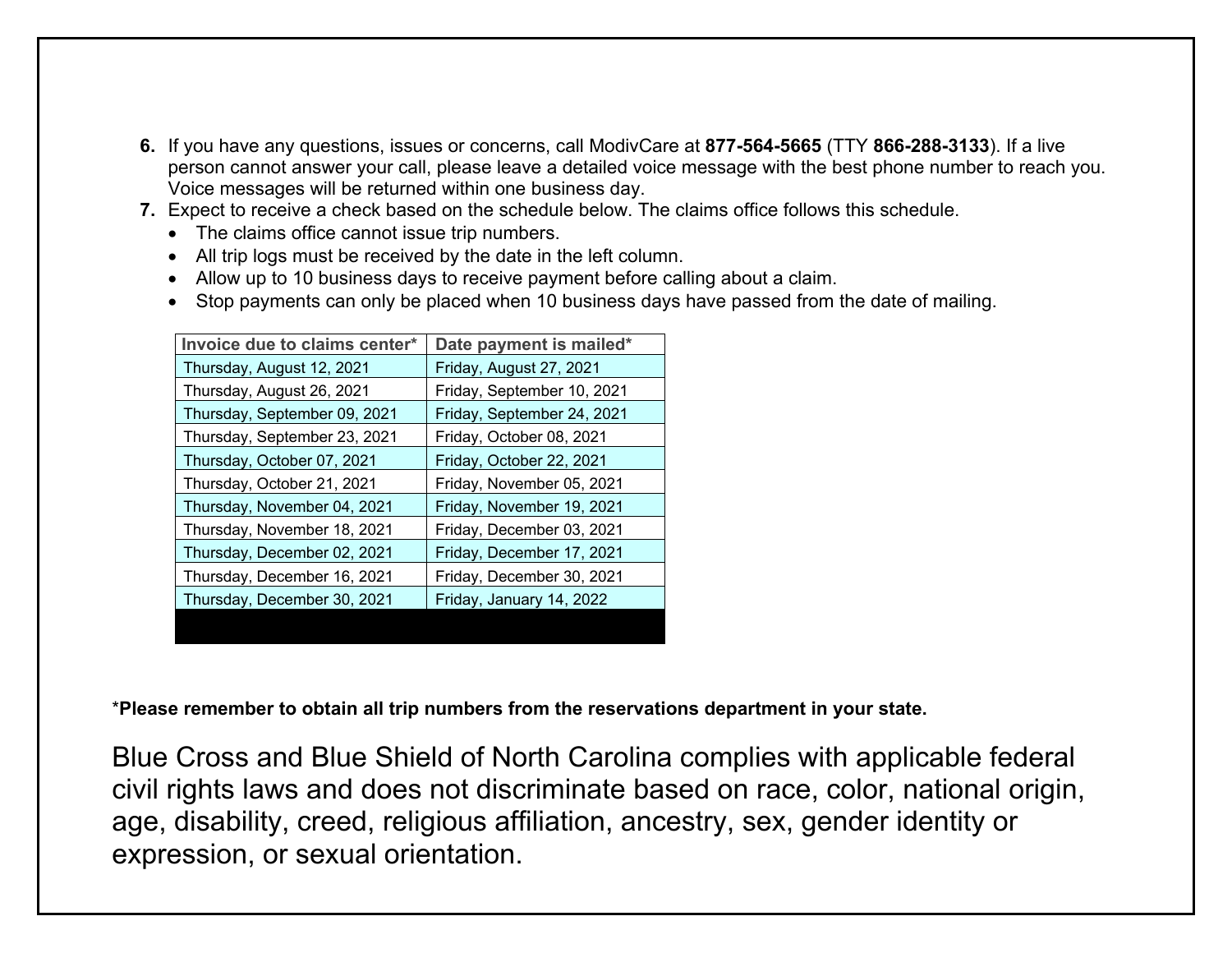- **6.** If you have any questions, issues or concerns, call ModivCare at **877-564-5665** (TTY **866-288-3133**). If a live person cannot answer your call, please leave a detailed voice message with the best phone number to reach you. Voice messages will be returned within one business day.
- **7.** Expect to receive a check based on the schedule below. The claims office follows this schedule.
	- The claims office cannot issue trip numbers.
	- All trip logs must be received by the date in the left column.
	- Allow up to 10 business days to receive payment before calling about a claim.
	- Stop payments can only be placed when 10 business days have passed from the date of mailing.

| Invoice due to claims center* | Date payment is mailed*    |
|-------------------------------|----------------------------|
| Thursday, August 12, 2021     | Friday, August 27, 2021    |
| Thursday, August 26, 2021     | Friday, September 10, 2021 |
| Thursday, September 09, 2021  | Friday, September 24, 2021 |
| Thursday, September 23, 2021  | Friday, October 08, 2021   |
| Thursday, October 07, 2021    | Friday, October 22, 2021   |
| Thursday, October 21, 2021    | Friday, November 05, 2021  |
| Thursday, November 04, 2021   | Friday, November 19, 2021  |
| Thursday, November 18, 2021   | Friday, December 03, 2021  |
| Thursday, December 02, 2021   | Friday, December 17, 2021  |
| Thursday, December 16, 2021   | Friday, December 30, 2021  |
| Thursday, December 30, 2021   | Friday, January 14, 2022   |
|                               |                            |

\***Please remember to obtain all trip numbers from the reservations department in your state.**

Blue Cross and Blue Shield of North Carolina complies with applicable federal civil rights laws and does not discriminate based on race, color, national origin, age, disability, creed, religious affiliation, ancestry, sex, gender identity or expression, or sexual orientation.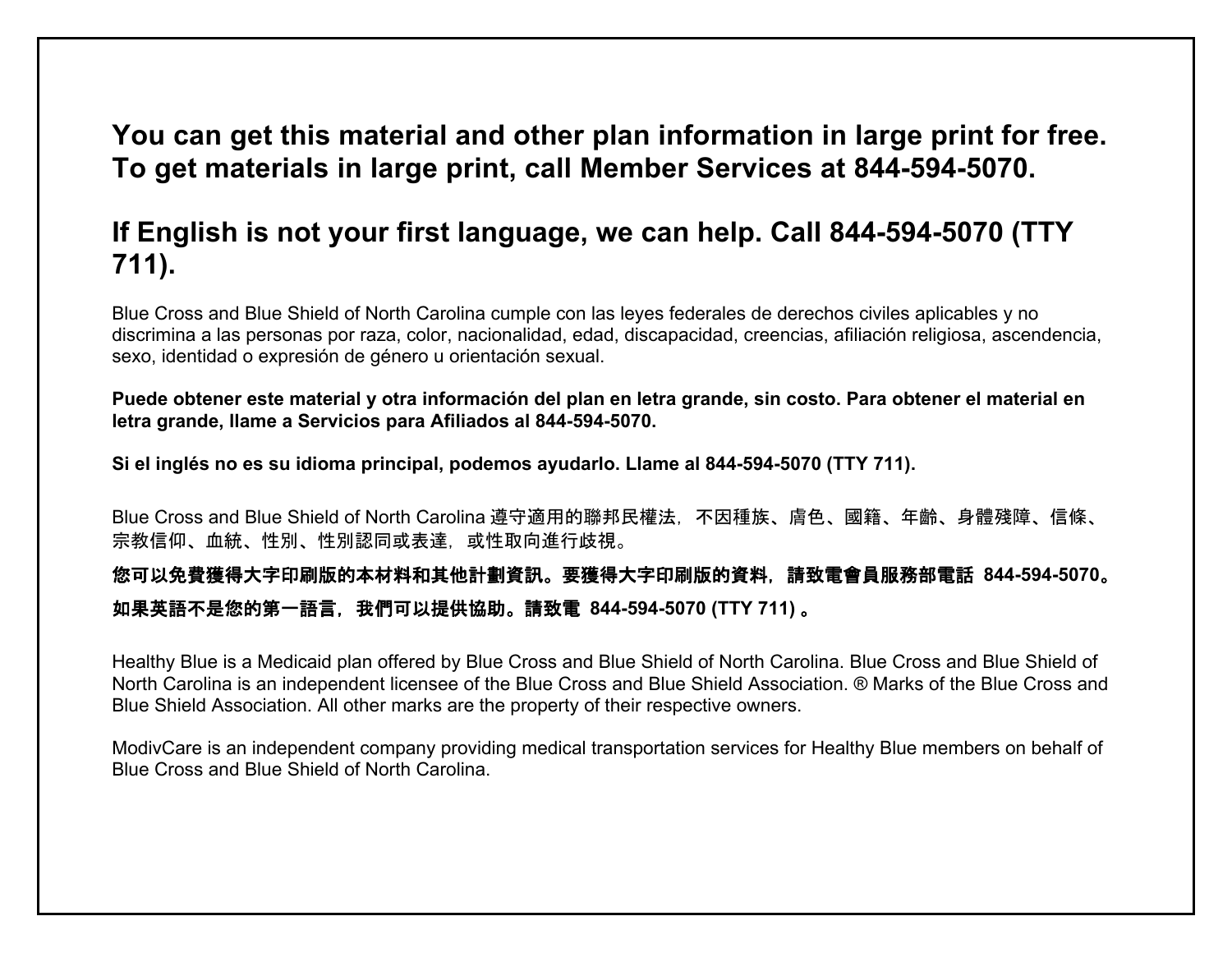## **You can get this material and other plan information in large print for free. To get materials in large print, call Member Services at 844-594-5070.**

## **If English is not your first language, we can help. Call 844-594-5070 (TTY 711).**

Blue Cross and Blue Shield of North Carolina cumple con las leyes federales de derechos civiles aplicables y no discrimina a las personas por raza, color, nacionalidad, edad, discapacidad, creencias, afiliación religiosa, ascendencia, sexo, identidad o expresión de género u orientación sexual.

**Puede obtener este material y otra información del plan en letra grande, sin costo. Para obtener el material en letra grande, llame a Servicios para Afiliados al 844-594-5070.** 

**Si el inglés no es su idioma principal, podemos ayudarlo. Llame al 844-594-5070 (TTY 711).**

Blue Cross and Blue Shield of North Carolina 遵守適用的聯邦民權法,不因種族、膚色、國籍、年齡、身體殘障、信條、 宗教信仰、血統、性別、性別認同或表達,或性取向進行歧視。

### 您可以免費獲得大字印刷版的本材料和其他計劃資訊。要獲得大字印刷版的資料,請致電會員服務部電話 **844-594-5070**。 如果英語不是您的第一語言,我們可以提供協助。請致電 **844-594-5070 (TTY 711)** 。

Healthy Blue is a Medicaid plan offered by Blue Cross and Blue Shield of North Carolina. Blue Cross and Blue Shield of North Carolina is an independent licensee of the Blue Cross and Blue Shield Association. ® Marks of the Blue Cross and Blue Shield Association. All other marks are the property of their respective owners.

ModivCare is an independent company providing medical transportation services for Healthy Blue members on behalf of Blue Cross and Blue Shield of North Carolina.